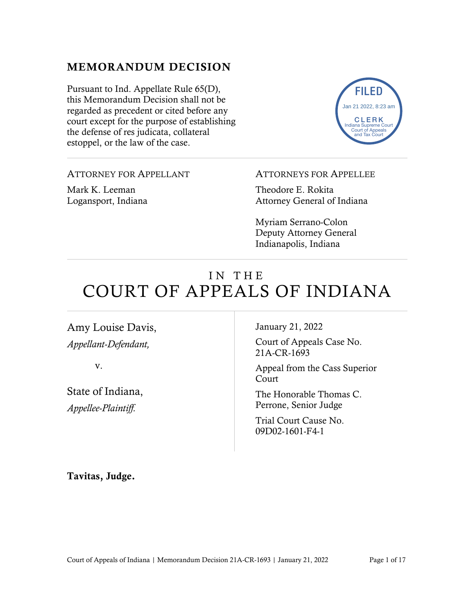## MEMORANDUM DECISION

Pursuant to Ind. Appellate Rule 65(D), this Memorandum Decision shall not be regarded as precedent or cited before any court except for the purpose of establishing the defense of res judicata, collateral estoppel, or the law of the case.



ATTORNEY FOR APPELLANT

Mark K. Leeman Logansport, Indiana ATTORNEYS FOR APPELLEE

Theodore E. Rokita Attorney General of Indiana

Myriam Serrano-Colon Deputy Attorney General Indianapolis, Indiana

# IN THE COURT OF APPEALS OF INDIANA

Amy Louise Davis, *Appellant-Defendant,*

v.

State of Indiana, *Appellee-Plaintiff.*

January 21, 2022

Court of Appeals Case No. 21A-CR-1693

Appeal from the Cass Superior Court

The Honorable Thomas C. Perrone, Senior Judge

Trial Court Cause No. 09D02-1601-F4-1

Tavitas, Judge.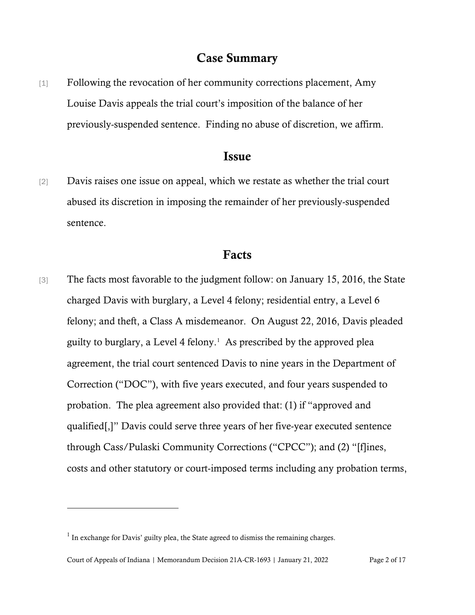## Case Summary

[1] Following the revocation of her community corrections placement, Amy Louise Davis appeals the trial court's imposition of the balance of her previously-suspended sentence. Finding no abuse of discretion, we affirm.

#### Issue

[2] Davis raises one issue on appeal, which we restate as whether the trial court abused its discretion in imposing the remainder of her previously-suspended sentence.

#### Facts

[3] The facts most favorable to the judgment follow: on January 15, 2016, the State charged Davis with burglary, a Level 4 felony; residential entry, a Level 6 felony; and theft, a Class A misdemeanor. On August 22, 2016, Davis pleaded guilty to burglary, a Level 4 felony. [1](#page-1-0) As prescribed by the approved plea agreement, the trial court sentenced Davis to nine years in the Department of Correction ("DOC"), with five years executed, and four years suspended to probation. The plea agreement also provided that: (1) if "approved and qualified[,]" Davis could serve three years of her five-year executed sentence through Cass/Pulaski Community Corrections ("CPCC"); and (2) "[f]ines, costs and other statutory or court-imposed terms including any probation terms,

<span id="page-1-0"></span> $<sup>1</sup>$  In exchange for Davis' guilty plea, the State agreed to dismiss the remaining charges.</sup>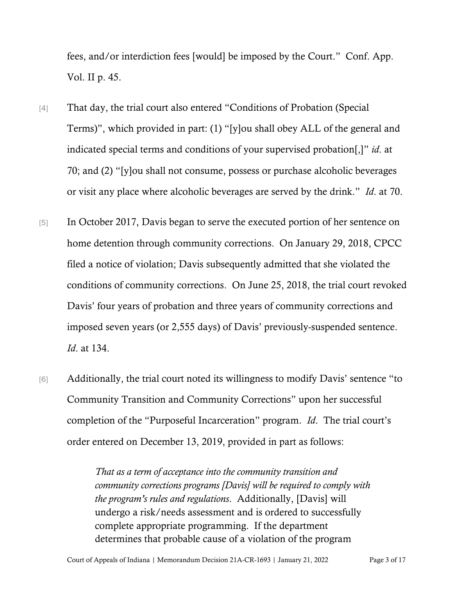fees, and/or interdiction fees [would] be imposed by the Court." Conf. App. Vol. II p. 45.

- [4] That day, the trial court also entered "Conditions of Probation (Special Terms)", which provided in part: (1) "[y]ou shall obey ALL of the general and indicated special terms and conditions of your supervised probation[,]" *id*. at 70; and (2) "[y]ou shall not consume, possess or purchase alcoholic beverages or visit any place where alcoholic beverages are served by the drink." *Id*. at 70.
- [5] In October 2017, Davis began to serve the executed portion of her sentence on home detention through community corrections. On January 29, 2018, CPCC filed a notice of violation; Davis subsequently admitted that she violated the conditions of community corrections. On June 25, 2018, the trial court revoked Davis' four years of probation and three years of community corrections and imposed seven years (or 2,555 days) of Davis' previously-suspended sentence. *Id*. at 134.
- [6] Additionally, the trial court noted its willingness to modify Davis' sentence "to Community Transition and Community Corrections" upon her successful completion of the "Purposeful Incarceration" program. *Id*. The trial court's order entered on December 13, 2019, provided in part as follows:

*That as a term of acceptance into the community transition and community corrections programs [Davis] will be required to comply with the program's rules and regulations*. Additionally, [Davis] will undergo a risk/needs assessment and is ordered to successfully complete appropriate programming. If the department determines that probable cause of a violation of the program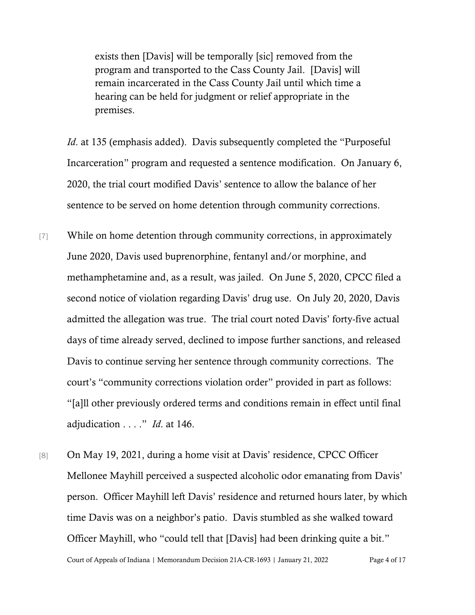exists then [Davis] will be temporally [sic] removed from the program and transported to the Cass County Jail. [Davis] will remain incarcerated in the Cass County Jail until which time a hearing can be held for judgment or relief appropriate in the premises.

*Id.* at 135 (emphasis added). Davis subsequently completed the "Purposeful" Incarceration" program and requested a sentence modification. On January 6, 2020, the trial court modified Davis' sentence to allow the balance of her sentence to be served on home detention through community corrections.

[7] While on home detention through community corrections, in approximately June 2020, Davis used buprenorphine, fentanyl and/or morphine, and methamphetamine and, as a result, was jailed. On June 5, 2020, CPCC filed a second notice of violation regarding Davis' drug use. On July 20, 2020, Davis admitted the allegation was true. The trial court noted Davis' forty-five actual days of time already served, declined to impose further sanctions, and released Davis to continue serving her sentence through community corrections. The court's "community corrections violation order" provided in part as follows: "[a]ll other previously ordered terms and conditions remain in effect until final adjudication . . . ." *Id*. at 146.

Court of Appeals of Indiana | Memorandum Decision 21A-CR-1693 | January 21, 2022 Page 4 of 17 [8] On May 19, 2021, during a home visit at Davis' residence, CPCC Officer Mellonee Mayhill perceived a suspected alcoholic odor emanating from Davis' person. Officer Mayhill left Davis' residence and returned hours later, by which time Davis was on a neighbor's patio. Davis stumbled as she walked toward Officer Mayhill, who "could tell that [Davis] had been drinking quite a bit."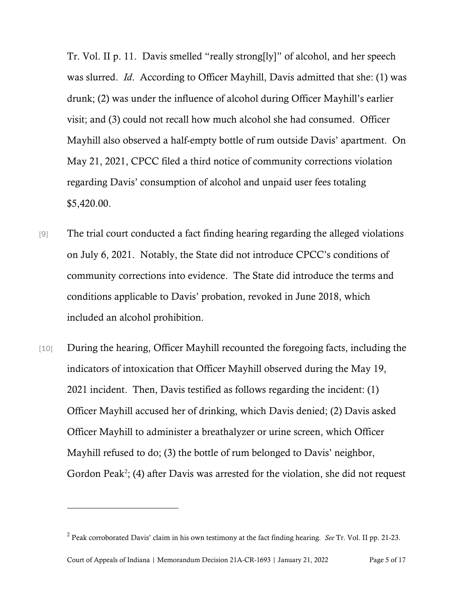Tr. Vol. II p. 11. Davis smelled "really strong[ly]" of alcohol, and her speech was slurred. *Id*. According to Officer Mayhill, Davis admitted that she: (1) was drunk; (2) was under the influence of alcohol during Officer Mayhill's earlier visit; and (3) could not recall how much alcohol she had consumed. Officer Mayhill also observed a half-empty bottle of rum outside Davis' apartment. On May 21, 2021, CPCC filed a third notice of community corrections violation regarding Davis' consumption of alcohol and unpaid user fees totaling \$5,420.00.

- [9] The trial court conducted a fact finding hearing regarding the alleged violations on July 6, 2021. Notably, the State did not introduce CPCC's conditions of community corrections into evidence. The State did introduce the terms and conditions applicable to Davis' probation, revoked in June 2018, which included an alcohol prohibition.
- [10] During the hearing, Officer Mayhill recounted the foregoing facts, including the indicators of intoxication that Officer Mayhill observed during the May 19, 2021 incident. Then, Davis testified as follows regarding the incident: (1) Officer Mayhill accused her of drinking, which Davis denied; (2) Davis asked Officer Mayhill to administer a breathalyzer or urine screen, which Officer Mayhill refused to do; (3) the bottle of rum belonged to Davis' neighbor, Gordon Peak<sup>[2](#page-4-0)</sup>; (4) after Davis was arrested for the violation, she did not request

<span id="page-4-0"></span><sup>2</sup> Peak corroborated Davis' claim in his own testimony at the fact finding hearing. *See* Tr. Vol. II pp. 21-23.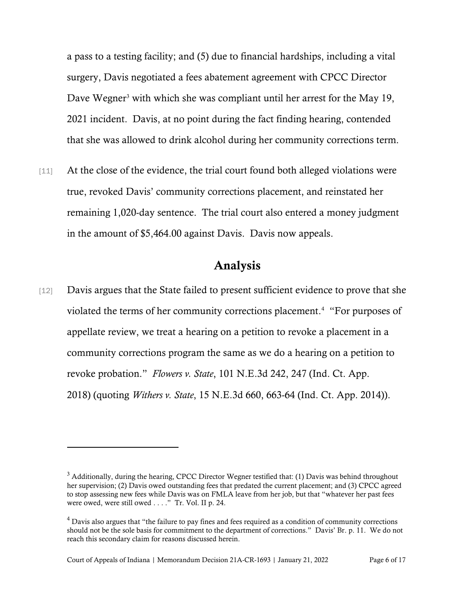a pass to a testing facility; and (5) due to financial hardships, including a vital surgery, Davis negotiated a fees abatement agreement with CPCC Director Dave Wegner<sup>[3](#page-5-0)</sup> with which she was compliant until her arrest for the May 19, 2021 incident. Davis, at no point during the fact finding hearing, contended that she was allowed to drink alcohol during her community corrections term.

[11] At the close of the evidence, the trial court found both alleged violations were true, revoked Davis' community corrections placement, and reinstated her remaining 1,020-day sentence. The trial court also entered a money judgment in the amount of \$5,464.00 against Davis. Davis now appeals.

## Analysis

[12] Davis argues that the State failed to present sufficient evidence to prove that she violated the terms of her community corrections placement.<sup>[4](#page-5-1)</sup> "For purposes of appellate review, we treat a hearing on a petition to revoke a placement in a community corrections program the same as we do a hearing on a petition to revoke probation." *Flowers v. State*, 101 N.E.3d 242, 247 (Ind. Ct. App. 2018) (quoting *Withers v. State*, 15 N.E.3d 660, 663-64 (Ind. Ct. App. 2014)).

<span id="page-5-0"></span> $3$  Additionally, during the hearing, CPCC Director Wegner testified that: (1) Davis was behind throughout her supervision; (2) Davis owed outstanding fees that predated the current placement; and (3) CPCC agreed to stop assessing new fees while Davis was on FMLA leave from her job, but that "whatever her past fees were owed, were still owed . . . ." Tr. Vol. II p. 24.

<span id="page-5-1"></span><sup>&</sup>lt;sup>4</sup> Davis also argues that "the failure to pay fines and fees required as a condition of community corrections should not be the sole basis for commitment to the department of corrections." Davis' Br. p. 11. We do not reach this secondary claim for reasons discussed herein.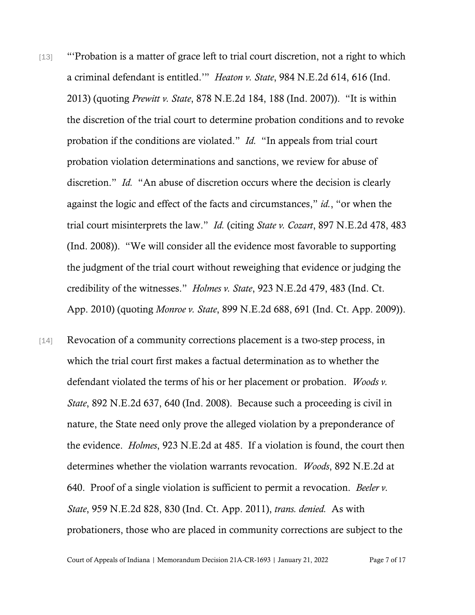- [13] "'Probation is a matter of grace left to trial court discretion, not a right to which a criminal defendant is entitled.'" *Heaton v. State*, 984 N.E.2d 614, 616 (Ind. 2013) (quoting *Prewitt v. State*, 878 N.E.2d 184, 188 (Ind. 2007)). "It is within the discretion of the trial court to determine probation conditions and to revoke probation if the conditions are violated." *Id.* "In appeals from trial court probation violation determinations and sanctions, we review for abuse of discretion." *Id.* "An abuse of discretion occurs where the decision is clearly against the logic and effect of the facts and circumstances," *id.*, "or when the trial court misinterprets the law." *Id.* (citing *State v. Cozart*, 897 N.E.2d 478, 483 (Ind. 2008)). "We will consider all the evidence most favorable to supporting the judgment of the trial court without reweighing that evidence or judging the credibility of the witnesses." *Holmes v. State*, 923 N.E.2d 479, 483 (Ind. Ct. App. 2010) (quoting *Monroe v. State*, 899 N.E.2d 688, 691 (Ind. Ct. App. 2009)).
- [14] Revocation of a community corrections placement is a two-step process, in which the trial court first makes a factual determination as to whether the defendant violated the terms of his or her placement or probation. *Woods v. State*, 892 N.E.2d 637, 640 (Ind. 2008). Because such a proceeding is civil in nature, the State need only prove the alleged violation by a preponderance of the evidence. *Holmes*, 923 N.E.2d at 485. If a violation is found, the court then determines whether the violation warrants revocation. *Woods*, 892 N.E.2d at 640. Proof of a single violation is sufficient to permit a revocation. *Beeler v. State*, 959 N.E.2d 828, 830 (Ind. Ct. App. 2011), *trans. denied.* As with probationers, those who are placed in community corrections are subject to the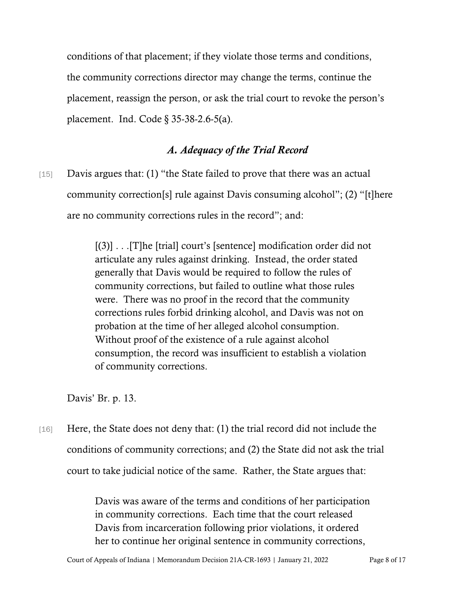conditions of that placement; if they violate those terms and conditions, the community corrections director may change the terms, continue the placement, reassign the person, or ask the trial court to revoke the person's placement. Ind. Code § 35-38-2.6-5(a).

## *A. Adequacy of the Trial Record*

[15] Davis argues that: (1) "the State failed to prove that there was an actual community correction[s] rule against Davis consuming alcohol"; (2) "[t]here are no community corrections rules in the record"; and:

> [(3)] . . .[T]he [trial] court's [sentence] modification order did not articulate any rules against drinking. Instead, the order stated generally that Davis would be required to follow the rules of community corrections, but failed to outline what those rules were. There was no proof in the record that the community corrections rules forbid drinking alcohol, and Davis was not on probation at the time of her alleged alcohol consumption. Without proof of the existence of a rule against alcohol consumption, the record was insufficient to establish a violation of community corrections.

Davis' Br. p. 13.

[16] Here, the State does not deny that: (1) the trial record did not include the conditions of community corrections; and (2) the State did not ask the trial court to take judicial notice of the same. Rather, the State argues that:

> Davis was aware of the terms and conditions of her participation in community corrections. Each time that the court released Davis from incarceration following prior violations, it ordered her to continue her original sentence in community corrections,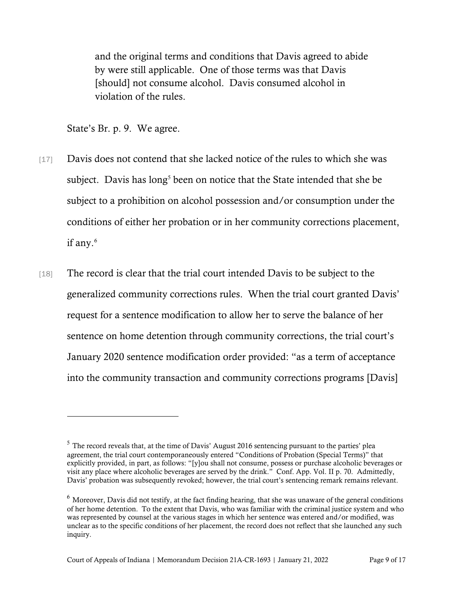and the original terms and conditions that Davis agreed to abide by were still applicable. One of those terms was that Davis [should] not consume alcohol. Davis consumed alcohol in violation of the rules.

State's Br. p. 9. We agree.

- [17] Davis does not contend that she lacked notice of the rules to which she was subject. Davis has long<sup>[5](#page-8-0)</sup> been on notice that the State intended that she be subject to a prohibition on alcohol possession and/or consumption under the conditions of either her probation or in her community corrections placement, if any.<sup>[6](#page-8-1)</sup>
- [18] The record is clear that the trial court intended Davis to be subject to the generalized community corrections rules. When the trial court granted Davis' request for a sentence modification to allow her to serve the balance of her sentence on home detention through community corrections, the trial court's January 2020 sentence modification order provided: "as a term of acceptance into the community transaction and community corrections programs [Davis]

<span id="page-8-0"></span><sup>&</sup>lt;sup>5</sup> The record reveals that, at the time of Davis' August 2016 sentencing pursuant to the parties' plea agreement, the trial court contemporaneously entered "Conditions of Probation (Special Terms)" that explicitly provided, in part, as follows: "[y]ou shall not consume, possess or purchase alcoholic beverages or visit any place where alcoholic beverages are served by the drink." Conf. App. Vol. II p. 70. Admittedly, Davis' probation was subsequently revoked; however, the trial court's sentencing remark remains relevant.

<span id="page-8-1"></span> $6$  Moreover, Davis did not testify, at the fact finding hearing, that she was unaware of the general conditions of her home detention. To the extent that Davis, who was familiar with the criminal justice system and who was represented by counsel at the various stages in which her sentence was entered and/or modified, was unclear as to the specific conditions of her placement, the record does not reflect that she launched any such inquiry.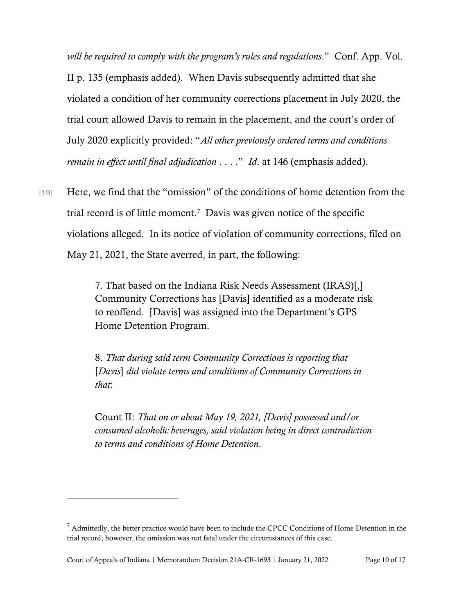*will be required to comply with the program's rules and regulations*." Conf. App. Vol. II p. 135 (emphasis added). When Davis subsequently admitted that she violated a condition of her community corrections placement in July 2020, the trial court allowed Davis to remain in the placement, and the court's order of July 2020 explicitly provided: "*All other previously ordered terms and conditions remain in effect until final adjudication* . . . ." *Id*. at 146 (emphasis added).

[19] Here, we find that the "omission" of the conditions of home detention from the trial record is of little moment. [7](#page-9-0) Davis was given notice of the specific violations alleged. In its notice of violation of community corrections, filed on May 21, 2021, the State averred, in part, the following:

> 7. That based on the Indiana Risk Needs Assessment (IRAS)[,] Community Corrections has [Davis] identified as a moderate risk to reoffend. [Davis] was assigned into the Department's GPS Home Detention Program.

8. *That during said term Community Corrections is reporting that* [*Davis*] *did violate terms and conditions of Community Corrections in that*:

Count II: *That on or about May 19, 2021, [Davis] possessed and/or consumed alcoholic beverages, said violation being in direct contradiction to terms and conditions of Home Detention*.

<span id="page-9-0"></span> $<sup>7</sup>$  Admittedly, the better practice would have been to include the CPCC Conditions of Home Detention in the</sup> trial record; however, the omission was not fatal under the circumstances of this case.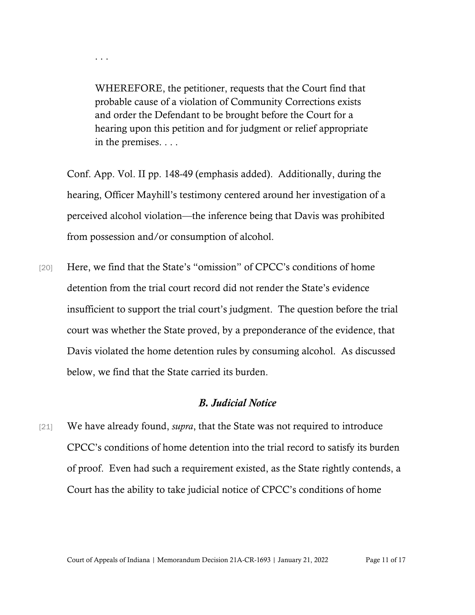WHEREFORE, the petitioner, requests that the Court find that probable cause of a violation of Community Corrections exists and order the Defendant to be brought before the Court for a hearing upon this petition and for judgment or relief appropriate in the premises. . . .

. . .

Conf. App. Vol. II pp. 148-49 (emphasis added). Additionally, during the hearing, Officer Mayhill's testimony centered around her investigation of a perceived alcohol violation—the inference being that Davis was prohibited from possession and/or consumption of alcohol.

[20] Here, we find that the State's "omission" of CPCC's conditions of home detention from the trial court record did not render the State's evidence insufficient to support the trial court's judgment. The question before the trial court was whether the State proved, by a preponderance of the evidence, that Davis violated the home detention rules by consuming alcohol. As discussed below, we find that the State carried its burden.

#### *B. Judicial Notice*

[21] We have already found, *supra*, that the State was not required to introduce CPCC's conditions of home detention into the trial record to satisfy its burden of proof. Even had such a requirement existed, as the State rightly contends, a Court has the ability to take judicial notice of CPCC's conditions of home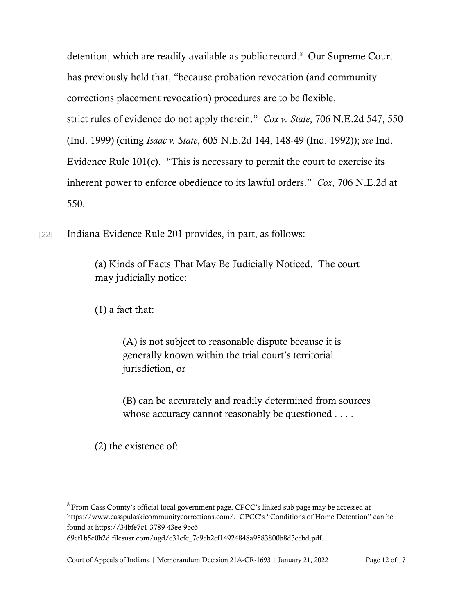detention, which are readily available as public record. [8](#page-11-0) Our Supreme Court has previously held that, "because probation revocation (and community corrections placement revocation) procedures are to be flexible, strict rules of evidence do not apply therein." *Cox v. State*, 706 N.E.2d 547, 550 (Ind. 1999) (citing *Isaac v. State*, 605 N.E.2d 144, 148-49 (Ind. 1992)); *see* Ind. Evidence Rule 101(c). "This is necessary to permit the court to exercise its inherent power to enforce obedience to its lawful orders." *Cox*, 706 N.E.2d at 550.

[22] Indiana Evidence Rule 201 provides, in part, as follows:

(a) Kinds of Facts That May Be Judicially Noticed. The court may judicially notice:

(1) a fact that:

(A) is not subject to reasonable dispute because it is generally known within the trial court's territorial jurisdiction, or

(B) can be accurately and readily determined from sources whose accuracy cannot reasonably be questioned . . . .

(2) the existence of:

<span id="page-11-0"></span><sup>8</sup>From Cass County's official local government page, CPCC's linked sub-page may be accessed at https://www.casspulaskicommunitycorrections.com/. CPCC's "Conditions of Home Detention" can be found at https://34bfe7c1-3789-43ee-9bc6-

<sup>69</sup>ef1b5e0b2d.filesusr.com/ugd/c31cfc\_7e9eb2cf14924848a9583800b8d3eebd.pdf.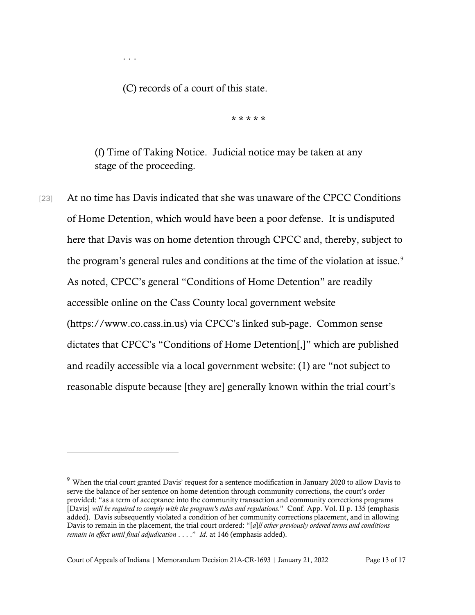(C) records of a court of this state.

. . .

\* \* \* \* \*

(f) Time of Taking Notice. Judicial notice may be taken at any stage of the proceeding.

[23] At no time has Davis indicated that she was unaware of the CPCC Conditions of Home Detention, which would have been a poor defense. It is undisputed here that Davis was on home detention through CPCC and, thereby, subject to the program's general rules and conditions at the time of the violation at issue.<sup>[9](#page-12-0)</sup> As noted, CPCC's general "Conditions of Home Detention" are readily accessible online on the Cass County local government website (https://www.co.cass.in.us) via CPCC's linked sub-page. Common sense dictates that CPCC's "Conditions of Home Detention[,]" which are published and readily accessible via a local government website: (1) are "not subject to reasonable dispute because [they are] generally known within the trial court's

<span id="page-12-0"></span><sup>9</sup> When the trial court granted Davis' request for a sentence modification in January 2020 to allow Davis to serve the balance of her sentence on home detention through community corrections, the court's order provided: "as a term of acceptance into the community transaction and community corrections programs [Davis] *will be required to comply with the program's rules and regulations*." Conf. App. Vol. II p. 135 (emphasis added). Davis subsequently violated a condition of her community corrections placement, and in allowing Davis to remain in the placement, the trial court ordered: "[*a*]*ll other previously ordered terms and conditions remain in effect until final adjudication* . . . ." *Id*. at 146 (emphasis added).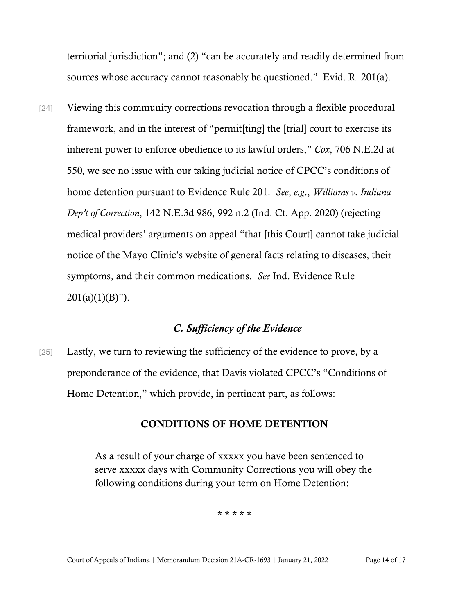territorial jurisdiction"; and (2) "can be accurately and readily determined from sources whose accuracy cannot reasonably be questioned." Evid. R. 201(a).

[24] Viewing this community corrections revocation through a flexible procedural framework, and in the interest of "permit[ting] the [trial] court to exercise its inherent power to enforce obedience to its lawful orders," *Cox*, 706 N.E.2d at 550*,* we see no issue with our taking judicial notice of CPCC's conditions of home detention pursuant to Evidence Rule 201. *See*, *e.g*., *Williams v. Indiana Dep't of Correction*, 142 N.E.3d 986, 992 n.2 (Ind. Ct. App. 2020) (rejecting medical providers' arguments on appeal "that [this Court] cannot take judicial notice of the Mayo Clinic's website of general facts relating to diseases, their symptoms, and their common medications. *See* Ind. Evidence Rule  $201(a)(1)(B)$ ").

## *C. Sufficiency of the Evidence*

[25] Lastly, we turn to reviewing the sufficiency of the evidence to prove, by a preponderance of the evidence, that Davis violated CPCC's "Conditions of Home Detention," which provide, in pertinent part, as follows:

#### CONDITIONS OF HOME DETENTION

As a result of your charge of xxxxx you have been sentenced to serve xxxxx days with Community Corrections you will obey the following conditions during your term on Home Detention:

\* \* \* \* \*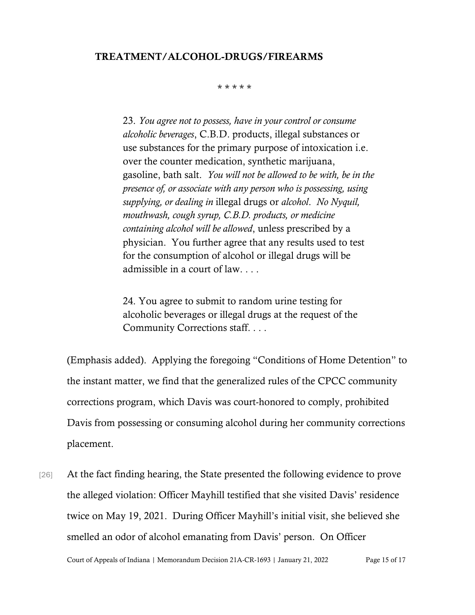#### TREATMENT/ALCOHOL-DRUGS/FIREARMS

#### \* \* \* \* \*

23. *You agree not to possess, have in your control or consume alcoholic beverages*, C.B.D. products, illegal substances or use substances for the primary purpose of intoxication i.e. over the counter medication, synthetic marijuana, gasoline, bath salt. *You will not be allowed to be with, be in the presence of, or associate with any person who is possessing, using supplying, or dealing in* illegal drugs or *alcohol*. *No Nyquil, mouthwash, cough syrup, C.B.D. products, or medicine containing alcohol will be allowed*, unless prescribed by a physician. You further agree that any results used to test for the consumption of alcohol or illegal drugs will be admissible in a court of law. . . .

24. You agree to submit to random urine testing for alcoholic beverages or illegal drugs at the request of the Community Corrections staff. . . .

(Emphasis added). Applying the foregoing "Conditions of Home Detention" to the instant matter, we find that the generalized rules of the CPCC community corrections program, which Davis was court-honored to comply, prohibited Davis from possessing or consuming alcohol during her community corrections placement.

[26] At the fact finding hearing, the State presented the following evidence to prove the alleged violation: Officer Mayhill testified that she visited Davis' residence twice on May 19, 2021. During Officer Mayhill's initial visit, she believed she smelled an odor of alcohol emanating from Davis' person. On Officer

Court of Appeals of Indiana | Memorandum Decision 21A-CR-1693 | January 21, 2022 Page 15 of 17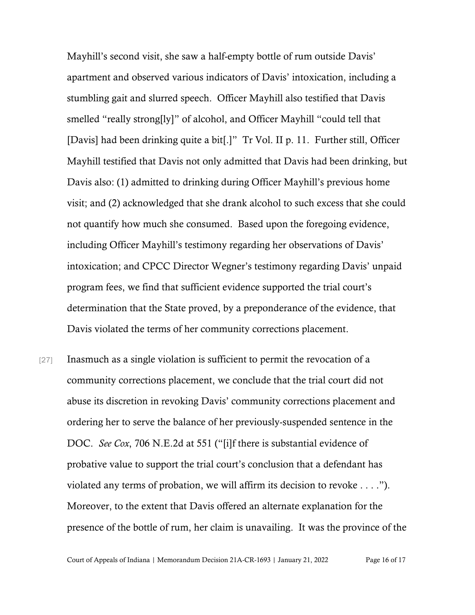Mayhill's second visit, she saw a half-empty bottle of rum outside Davis' apartment and observed various indicators of Davis' intoxication, including a stumbling gait and slurred speech. Officer Mayhill also testified that Davis smelled "really strong[ly]" of alcohol, and Officer Mayhill "could tell that [Davis] had been drinking quite a bit[.]" Tr Vol. II p. 11. Further still, Officer Mayhill testified that Davis not only admitted that Davis had been drinking, but Davis also: (1) admitted to drinking during Officer Mayhill's previous home visit; and (2) acknowledged that she drank alcohol to such excess that she could not quantify how much she consumed. Based upon the foregoing evidence, including Officer Mayhill's testimony regarding her observations of Davis' intoxication; and CPCC Director Wegner's testimony regarding Davis' unpaid program fees, we find that sufficient evidence supported the trial court's determination that the State proved, by a preponderance of the evidence, that Davis violated the terms of her community corrections placement.

[27] Inasmuch as a single violation is sufficient to permit the revocation of a community corrections placement, we conclude that the trial court did not abuse its discretion in revoking Davis' community corrections placement and ordering her to serve the balance of her previously-suspended sentence in the DOC. *See Cox*, 706 N.E.2d at 551 ("[i]f there is substantial evidence of probative value to support the trial court's conclusion that a defendant has violated any terms of probation, we will affirm its decision to revoke . . . ."). Moreover, to the extent that Davis offered an alternate explanation for the presence of the bottle of rum, her claim is unavailing. It was the province of the

Court of Appeals of Indiana | Memorandum Decision 21A-CR-1693 | January 21, 2022 Page 16 of 17